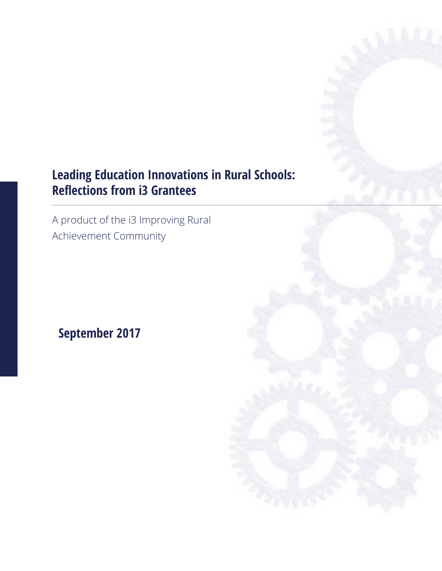## **Leading Education Innovations in Rural Schools: Reflections from i3 Grantees**

A product of the i3 Improving Rural Achievement Community

# **September 2017**

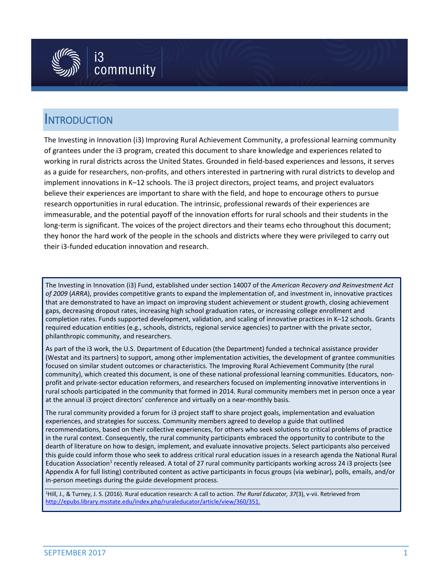

## INTRODUCTION

The Investing in Innovation (i3) Improving Rural Achievement Community, a professional learning community of grantees under the i3 program, created this document to share knowledge and experiences related to working in rural districts across the United States. Grounded in field-based experiences and lessons, it serves as a guide for researchers, non-profits, and others interested in partnering with rural districts to develop and implement innovations in K–12 schools. The i3 project directors, project teams, and project evaluators believe their experiences are important to share with the field, and hope to encourage others to pursue research opportunities in rural education. The intrinsic, professional rewards of their experiences are immeasurable, and the potential payoff of the innovation efforts for rural schools and their students in the long-term is significant. The voices of the project directors and their teams echo throughout this document; they honor the hard work of the people in the schools and districts where they were privileged to carry out their i3-funded education innovation and research.

The Investing in Innovation (i3) Fund, established under section 14007 of the *American Recovery and Reinvestment Act of 2009* (*ARRA*), provides competitive grants to expand the implementation of, and investment in, innovative practices that are demonstrated to have an impact on improving student achievement or student growth, closing achievement gaps, decreasing dropout rates, increasing high school graduation rates, or increasing college enrollment and completion rates. Funds supported development, validation, and scaling of innovative practices in K–12 schools. Grants required education entities (e.g., schools, districts, regional service agencies) to partner with the private sector, philanthropic community, and researchers.

As part of the i3 work, the U.S. Department of Education (the Department) funded a technical assistance provider (Westat and its partners) to support, among other implementation activities, the development of grantee communities focused on similar student outcomes or characteristics. The Improving Rural Achievement Community (the rural community), which created this document, is one of these national professional learning communities. Educators, nonprofit and private-sector education reformers, and researchers focused on implementing innovative interventions in rural schools participated in the community that formed in 2014. Rural community members met in person once a year at the annual i3 project directors' conference and virtually on a near-monthly basis.

The rural community provided a forum for i3 project staff to share project goals, implementation and evaluation experiences, and strategies for success. Community members agreed to develop a guide that outlined recommendations, based on their collective experiences, for others who seek solutions to critical problems of practice in the rural context. Consequently, the rural community participants embraced the opportunity to contribute to the dearth of literature on how to design, implement, and evaluate innovative projects. Select participants also perceived this guide could inform those who seek to address critical rural education issues in a research agenda the National Rural Education Association<sup>1</sup> recently released. A total of 27 rural community participants working across 24 i3 projects (see Appendix A for full listing) contributed content as active participants in focus groups (via webinar), polls, emails, and/or in-person meetings during the guide development process.

1Hill, J., & Turney, J. S. (2016). Rural education research: A call to action. *The Rural Educator, 37*(3), v-vii. Retrieved from <http://epubs.library.msstate.edu/index.php/ruraleducator/article/view/360/351>.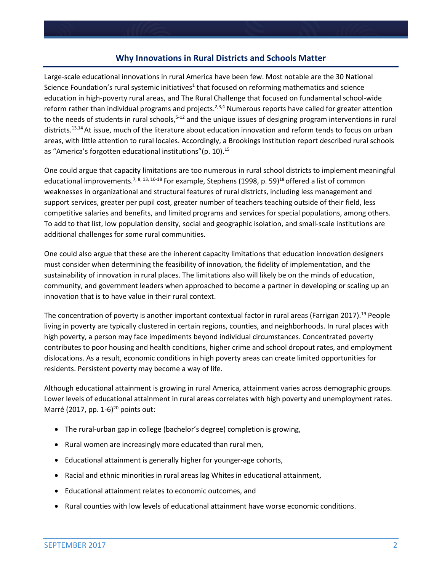#### **Why Innovations in Rural Districts and Schools Matter**

Large-scale educational innovations in rural America have been few. Most notable are the 30 National Science Foundation's rural systemic initiatives<sup>1</sup> that focused on reforming mathematics and science education in high-poverty rural areas, and The Rural Challenge that focused on fundamental school-wide reform rather than individual programs and projects.<sup>2,3,4</sup> Numerous reports have called for greater attention to the needs of students in rural schools,<sup>5-12</sup> and the unique issues of designing program interventions in rural districts.13,14At issue, much of the literature about education innovation and reform tends to focus on urban areas, with little attention to rural locales. Accordingly, a Brookings Institution report described rural schools as "America's forgotten educational institutions" (p. 10).<sup>15</sup>

One could argue that capacity limitations are too numerous in rural school districts to implement meaningful educational improvements.<sup>7, 8, 13, 16-18</sup> For example, Stephens (1998, p. 59)<sup>18</sup> offered a list of common weaknesses in organizational and structural features of rural districts, including less management and support services, greater per pupil cost, greater number of teachers teaching outside of their field, less competitive salaries and benefits, and limited programs and services for special populations, among others. To add to that list, low population density, social and geographic isolation, and small-scale institutions are additional challenges for some rural communities.

One could also argue that these are the inherent capacity limitations that education innovation designers must consider when determining the feasibility of innovation, the fidelity of implementation, and the sustainability of innovation in rural places. The limitations also will likely be on the minds of education, community, and government leaders when approached to become a partner in developing or scaling up an innovation that is to have value in their rural context.

The concentration of poverty is another important contextual factor in rural areas (Farrigan 2017).<sup>19</sup> People living in poverty are typically clustered in certain regions, counties, and neighborhoods. In rural places with high poverty, a person may face impediments beyond individual circumstances. Concentrated poverty contributes to poor housing and health conditions, higher crime and school dropout rates, and employment dislocations. As a result, economic conditions in high poverty areas can create limited opportunities for residents. Persistent poverty may become a way of life.

Although educational attainment is growing in rural America, attainment varies across demographic groups. Lower levels of educational attainment in rural areas correlates with high poverty and unemployment rates. Marré (2017, pp. 1-6) $^{20}$  points out:

- The rural-urban gap in college (bachelor's degree) completion is growing,
- Rural women are increasingly more educated than rural men,
- Educational attainment is generally higher for younger-age cohorts,
- Racial and ethnic minorities in rural areas lag Whites in educational attainment,
- Educational attainment relates to economic outcomes, and
- Rural counties with low levels of educational attainment have worse economic conditions.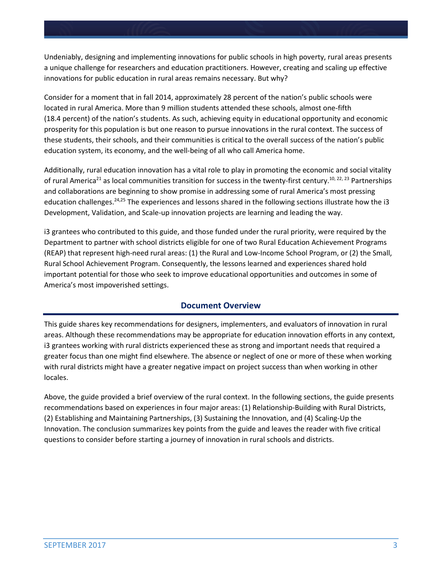Undeniably, designing and implementing innovations for public schools in high poverty, rural areas presents a unique challenge for researchers and education practitioners. However, creating and scaling up effective innovations for public education in rural areas remains necessary. But why?

Consider for a moment that in fall 2014, approximately 28 percent of the nation's public schools were located in rural America. More than 9 million students attended these schools, almost one-fifth (18.4 percent) of the nation's students. As such, achieving equity in educational opportunity and economic prosperity for this population is but one reason to pursue innovations in the rural context. The success of these students, their schools, and their communities is critical to the overall success of the nation's public education system, its economy, and the well-being of all who call America home.

Additionally, rural education innovation has a vital role to play in promoting the economic and social vitality of rural America<sup>21</sup> as local communities transition for success in the twenty-first century.<sup>10, 22, 23</sup> Partnerships and collaborations are beginning to show promise in addressing some of rural America's most pressing education challenges.<sup>24,25</sup> The experiences and lessons shared in the following sections illustrate how the i3 Development, Validation, and Scale-up innovation projects are learning and leading the way.

i3 grantees who contributed to this guide, and those funded under the rural priority, were required by the Department to partner with school districts eligible for one of two Rural Education Achievement Programs (REAP) that represent high-need rural areas: (1) the Rural and Low-Income School Program, or (2) the Small, Rural School Achievement Program. Consequently, the lessons learned and experiences shared hold important potential for those who seek to improve educational opportunities and outcomes in some of America's most impoverished settings.

### **Document Overview**

This guide shares key recommendations for designers, implementers, and evaluators of innovation in rural areas. Although these recommendations may be appropriate for education innovation efforts in any context, i3 grantees working with rural districts experienced these as strong and important needs that required a greater focus than one might find elsewhere. The absence or neglect of one or more of these when working with rural districts might have a greater negative impact on project success than when working in other locales.

Above, the guide provided a brief overview of the rural context. In the following sections, the guide presents recommendations based on experiences in four major areas: (1) Relationship-Building with Rural Districts, (2) Establishing and Maintaining Partnerships, (3) Sustaining the Innovation, and (4) Scaling-Up the Innovation. The conclusion summarizes key points from the guide and leaves the reader with five critical questions to consider before starting a journey of innovation in rural schools and districts.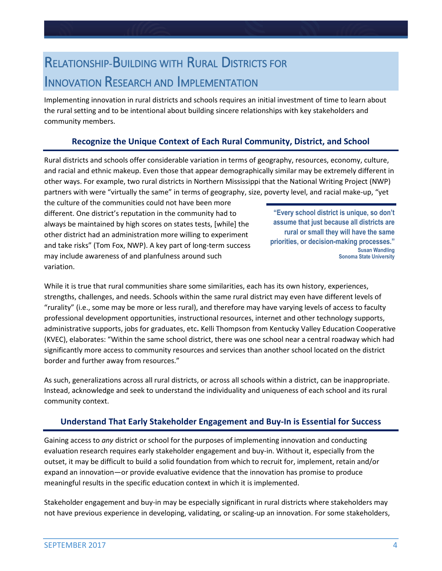# RELATIONSHIP-BUILDING WITH RURAL DISTRICTS FOR INNOVATION RESEARCH AND IMPLEMENTATION

Implementing innovation in rural districts and schools requires an initial investment of time to learn about the rural setting and to be intentional about building sincere relationships with key stakeholders and community members.

## **Recognize the Unique Context of Each Rural Community, District, and School**

Rural districts and schools offer considerable variation in terms of geography, resources, economy, culture, and racial and ethnic makeup. Even those that appear demographically similar may be extremely different in other ways. For example, two rural districts in Northern Mississippi that the National Writing Project (NWP) partners with were "virtually the same" in terms of geography, size, poverty level, and racial make-up, "yet

the culture of the communities could not have been more different. One district's reputation in the community had to always be maintained by high scores on states tests, [while] the other district had an administration more willing to experiment and take risks" (Tom Fox, NWP). A key part of long-term success may include awareness of and planfulness around such variation.

**"Every school district is unique, so don't assume that just because all districts are rural or small they will have the same priorities, or decision-making processes." Susan Wandling Sonoma State University**

While it is true that rural communities share some similarities, each has its own history, experiences, strengths, challenges, and needs. Schools within the same rural district may even have different levels of "rurality" (i.e., some may be more or less rural), and therefore may have varying levels of access to faculty professional development opportunities, instructional resources, internet and other technology supports, administrative supports, jobs for graduates, etc**.** Kelli Thompson from Kentucky Valley Education Cooperative (KVEC), elaborates: "Within the same school district, there was one school near a central roadway which had significantly more access to community resources and services than another school located on the district border and further away from resources."

As such, generalizations across all rural districts, or across all schools within a district, can be inappropriate. Instead, acknowledge and seek to understand the individuality and uniqueness of each school and its rural community context.

## **Understand That Early Stakeholder Engagement and Buy-In is Essential for Success**

Gaining access to *any* district or school for the purposes of implementing innovation and conducting evaluation research requires early stakeholder engagement and buy-in. Without it, especially from the outset, it may be difficult to build a solid foundation from which to recruit for, implement, retain and/or expand an innovation—or provide evaluative evidence that the innovation has promise to produce meaningful results in the specific education context in which it is implemented.

Stakeholder engagement and buy-in may be especially significant in rural districts where stakeholders may not have previous experience in developing, validating, or scaling-up an innovation. For some stakeholders,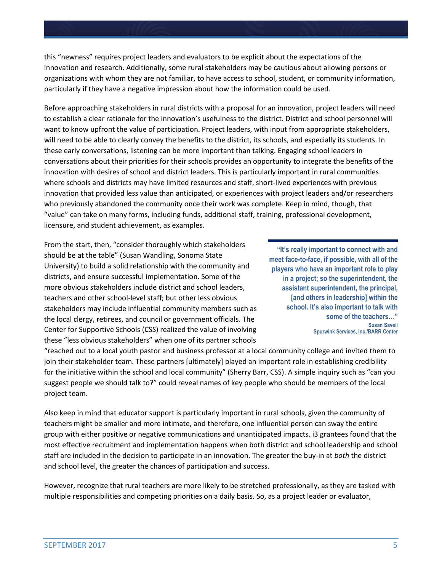this "newness" requires project leaders and evaluators to be explicit about the expectations of the innovation and research. Additionally, some rural stakeholders may be cautious about allowing persons or organizations with whom they are not familiar, to have access to school, student, or community information, particularly if they have a negative impression about how the information could be used.

Before approaching stakeholders in rural districts with a proposal for an innovation, project leaders will need to establish a clear rationale for the innovation's usefulness to the district. District and school personnel will want to know upfront the value of participation. Project leaders, with input from appropriate stakeholders, will need to be able to clearly convey the benefits to the district, its schools, and especially its students. In these early conversations, listening can be more important than talking. Engaging school leaders in conversations about their priorities for their schools provides an opportunity to integrate the benefits of the innovation with desires of school and district leaders. This is particularly important in rural communities where schools and districts may have limited resources and staff, short-lived experiences with previous innovation that provided less value than anticipated, or experiences with project leaders and/or researchers who previously abandoned the community once their work was complete. Keep in mind, though, that "value" can take on many forms, including funds, additional staff, training, professional development, licensure, and student achievement, as examples.

From the start, then, "consider thoroughly which stakeholders should be at the table" (Susan Wandling, Sonoma State University) to build a solid relationship with the community and districts, and ensure successful implementation. Some of the more obvious stakeholders include district and school leaders, teachers and other school-level staff; but other less obvious stakeholders may include influential community members such as the local clergy, retirees, and council or government officials. The Center for Supportive Schools (CSS) realized the value of involving these "less obvious stakeholders" when one of its partner schools

**"It's really important to connect with and meet face-to-face, if possible, with all of the players who have an important role to play in a project; so the superintendent, the assistant superintendent, the principal, [and others in leadership] within the school. It's also important to talk with some of the teachers…" Susan Savell Spurwink Services, Inc./BARR Center**

"reached out to a local youth pastor and business professor at a local community college and invited them to join their stakeholder team. These partners [ultimately] played an important role in establishing credibility for the initiative within the school and local community" (Sherry Barr, CSS). A simple inquiry such as "can you suggest people we should talk to?" could reveal names of key people who should be members of the local project team.

Also keep in mind that educator support is particularly important in rural schools, given the community of teachers might be smaller and more intimate, and therefore, one influential person can sway the entire group with either positive or negative communications and unanticipated impacts. i3 grantees found that the most effective recruitment and implementation happens when both district and school leadership and school staff are included in the decision to participate in an innovation. The greater the buy-in at *both* the district and school level, the greater the chances of participation and success.

However, recognize that rural teachers are more likely to be stretched professionally, as they are tasked with multiple responsibilities and competing priorities on a daily basis. So, as a project leader or evaluator,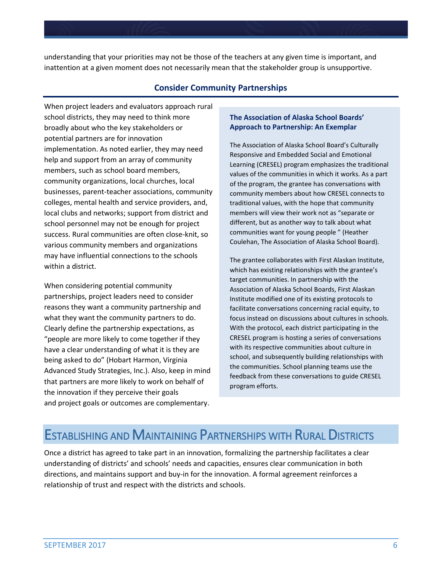understanding that your priorities may not be those of the teachers at any given time is important, and inattention at a given moment does not necessarily mean that the stakeholder group is unsupportive.

### **Consider Community Partnerships**

When project leaders and evaluators approach rural school districts, they may need to think more broadly about who the key stakeholders or potential partners are for innovation implementation. As noted earlier, they may need help and support from an array of community members, such as school board members, community organizations, local churches, local businesses, parent-teacher associations, community colleges, mental health and service providers, and, local clubs and networks; support from district and school personnel may not be enough for project success. Rural communities are often close-knit, so various community members and organizations may have influential connections to the schools within a district.

When considering potential community partnerships, project leaders need to consider reasons they want a community partnership and what they want the community partners to do. Clearly define the partnership expectations, as "people are more likely to come together if they have a clear understanding of what it is they are being asked to do" (Hobart Harmon, Virginia Advanced Study Strategies, Inc.). Also, keep in mind that partners are more likely to work on behalf of the innovation if they perceive their goals and project goals or outcomes are complementary.

#### **The Association of Alaska School Boards' Approach to Partnership: An Exemplar**

The Association of Alaska School Board's Culturally Responsive and Embedded Social and Emotional Learning (CRESEL) program emphasizes the traditional values of the communities in which it works. As a part of the program, the grantee has conversations with community members about how CRESEL connects to traditional values, with the hope that community members will view their work not as "separate or different, but as another way to talk about what communities want for young people " (Heather Coulehan, The Association of Alaska School Board).

The grantee collaborates with First Alaskan Institute, which has existing relationships with the grantee's target communities. In partnership with the Association of Alaska School Boards, First Alaskan Institute modified one of its existing protocols to facilitate conversations concerning racial equity, to focus instead on discussions about cultures in schools. With the protocol, each district participating in the CRESEL program is hosting a series of conversations with its respective communities about culture in school, and subsequently building relationships with the communities. School planning teams use the feedback from these conversations to guide CRESEL program efforts.

## ESTABLISHING AND MAINTAINING PARTNERSHIPS WITH RURAL DISTRICTS

Once a district has agreed to take part in an innovation, formalizing the partnership facilitates a clear understanding of districts' and schools' needs and capacities, ensures clear communication in both directions, and maintains support and buy-in for the innovation. A formal agreement reinforces a relationship of trust and respect with the districts and schools.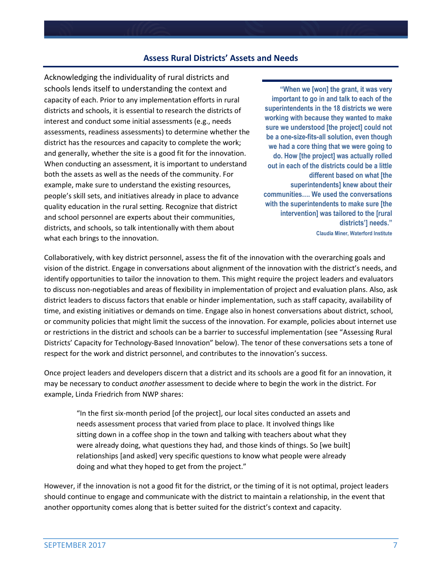#### **Assess Rural Districts' Assets and Needs**

Acknowledging the individuality of rural districts and schools lends itself to understanding the context and capacity of each. Prior to any implementation efforts in rural districts and schools, it is essential to research the districts of interest and conduct some initial assessments (e.g., needs assessments, readiness assessments) to determine whether the district has the resources and capacity to complete the work; and generally, whether the site is a good fit for the innovation. When conducting an assessment, it is important to understand both the assets as well as the needs of the community. For example, make sure to understand the existing resources, people's skill sets, and initiatives already in place to advance quality education in the rural setting. Recognize that district and school personnel are experts about their communities, districts, and schools, so talk intentionally with them about what each brings to the innovation.

**"When we [won] the grant, it was very important to go in and talk to each of the superintendents in the 18 districts we were working with because they wanted to make sure we understood [the project] could not be a one-size-fits-all solution, even though we had a core thing that we were going to do. How [the project] was actually rolled out in each of the districts could be a little different based on what [the superintendents] knew about their communities…. We used the conversations with the superintendents to make sure [the intervention] was tailored to the [rural districts'] needs."**

**Claudia Miner, Waterford Institute**

Collaboratively, with key district personnel, assess the fit of the innovation with the overarching goals and vision of the district. Engage in conversations about alignment of the innovation with the district's needs, and identify opportunities to tailor the innovation to them. This might require the project leaders and evaluators to discuss non-negotiables and areas of flexibility in implementation of project and evaluation plans. Also, ask district leaders to discuss factors that enable or hinder implementation, such as staff capacity, availability of time, and existing initiatives or demands on time. Engage also in honest conversations about district, school, or community policies that might limit the success of the innovation. For example, policies about internet use or restrictions in the district and schools can be a barrier to successful implementation (see "Assessing Rural Districts' Capacity for Technology-Based Innovation" below). The tenor of these conversations sets a tone of respect for the work and district personnel, and contributes to the innovation's success.

Once project leaders and developers discern that a district and its schools are a good fit for an innovation, it may be necessary to conduct *another* assessment to decide where to begin the work in the district. For example, Linda Friedrich from NWP shares:

"In the first six-month period [of the project], our local sites conducted an assets and needs assessment process that varied from place to place. It involved things like sitting down in a coffee shop in the town and talking with teachers about what they were already doing, what questions they had, and those kinds of things. So [we built] relationships [and asked] very specific questions to know what people were already doing and what they hoped to get from the project."

However, if the innovation is not a good fit for the district, or the timing of it is not optimal, project leaders should continue to engage and communicate with the district to maintain a relationship, in the event that another opportunity comes along that is better suited for the district's context and capacity.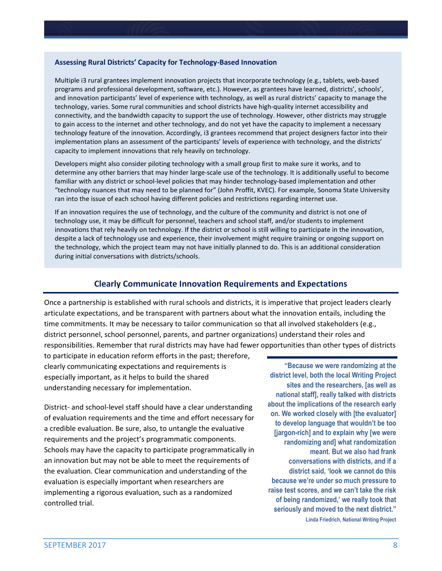#### **Assessing Rural Districts' Capacity for Technology-Based Innovation**

Multiple i3 rural grantees implement innovation projects that incorporate technology (e.g., tablets, web-based programs and professional development, software, etc.). However, as grantees have learned, districts', schools', and innovation participants' level of experience with technology, as well as rural districts' capacity to manage the technology, varies. Some rural communities and school districts have high-quality internet accessibility and connectivity, and the bandwidth capacity to support the use of technology. However, other districts may struggle to gain access to the internet and other technology, and do not yet have the capacity to implement a necessary technology feature of the innovation. Accordingly, i3 grantees recommend that project designers factor into their implementation plans an assessment of the participants' levels of experience with technology, and the districts' capacity to implement innovations that rely heavily on technology.

Developers might also consider piloting technology with a small group first to make sure it works, and to determine any other barriers that may hinder large-scale use of the technology. It is additionally useful to become familiar with any district or school-level policies that may hinder technology-based implementation and other "technology nuances that may need to be planned for" (John Proffit, KVEC). For example, Sonoma State University ran into the issue of each school having different policies and restrictions regarding internet use.

If an innovation requires the use of technology, and the culture of the community and district is not one of technology use, it may be difficult for personnel, teachers and school staff, and/or students to implement innovations that rely heavily on technology. If the district or school is still willing to participate in the innovation, despite a lack of technology use and experience, their involvement might require training or ongoing support on the technology, which the project team may not have initially planned to do. This is an additional consideration during initial conversations with districts/schools.

### **Clearly Communicate Innovation Requirements and Expectations**

Once a partnership is established with rural schools and districts, it is imperative that project leaders clearly articulate expectations, and be transparent with partners about what the innovation entails, including the time commitments. It may be necessary to tailor communication so that all involved stakeholders (e.g., district personnel, school personnel, parents, and partner organizations) understand their roles and responsibilities. Remember that rural districts may have had fewer opportunities than other types of districts

to participate in education reform efforts in the past; therefore, clearly communicating expectations and requirements is especially important, as it helps to build the shared understanding necessary for implementation.

District- and school-level staff should have a clear understanding of evaluation requirements and the time and effort necessary for a credible evaluation. Be sure, also, to untangle the evaluative requirements and the project's programmatic components. Schools may have the capacity to participate programmatically in an innovation but may not be able to meet the requirements of the evaluation. Clear communication and understanding of the evaluation is especially important when researchers are implementing a rigorous evaluation, such as a randomized controlled trial.

**"Because we were randomizing at the district level, both the local Writing Project sites and the researchers, [as well as national staff], really talked with districts about the implications of the research early on. We worked closely with [the evaluator] to develop language that wouldn't be too [jargon-rich] and to explain why [we were randomizing and] what randomization meant. But we also had frank conversations with districts, and if a district said, 'look we cannot do this because we're under so much pressure to raise test scores, and we can't take the risk of being randomized,' we really took that seriously and moved to the next district."**

**Linda Friedrich, National Writing Project**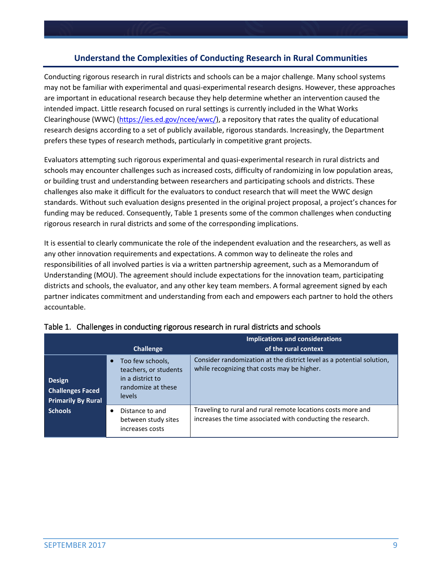### **Understand the Complexities of Conducting Research in Rural Communities**

Conducting rigorous research in rural districts and schools can be a major challenge. Many school systems may not be familiar with experimental and quasi-experimental research designs. However, these approaches are important in educational research because they help determine whether an intervention caused the intended impact. Little research focused on rural settings is currently included in the What Works Clearinghouse (WWC) [\(https://ies.ed.gov/ncee/wwc/\)](https://ies.ed.gov/ncee/wwc/), a repository that rates the quality of educational research designs according to a set of publicly available, rigorous standards. Increasingly, the Department prefers these types of research methods, particularly in competitive grant projects.

Evaluators attempting such rigorous experimental and quasi-experimental research in rural districts and schools may encounter challenges such as increased costs, difficulty of randomizing in low population areas, or building trust and understanding between researchers and participating schools and districts. These challenges also make it difficult for the evaluators to conduct research that will meet the WWC design standards. Without such evaluation designs presented in the original project proposal, a project's chances for funding may be reduced. Consequently, Table 1 presents some of the common challenges when conducting rigorous research in rural districts and some of the corresponding implications.

It is essential to clearly communicate the role of the independent evaluation and the researchers, as well as any other innovation requirements and expectations. A common way to delineate the roles and responsibilities of all involved parties is via a written partnership agreement, such as a Memorandum of Understanding (MOU). The agreement should include expectations for the innovation team, participating districts and schools, the evaluator, and any other key team members. A formal agreement signed by each partner indicates commitment and understanding from each and empowers each partner to hold the others accountable.

|                                                                       | <b>Challenge</b>                                                                              | <b>Implications and considerations</b><br>of the rural context                                                              |
|-----------------------------------------------------------------------|-----------------------------------------------------------------------------------------------|-----------------------------------------------------------------------------------------------------------------------------|
| <b>Design</b><br><b>Challenges Faced</b><br><b>Primarily By Rural</b> | Too few schools,<br>teachers, or students<br>in a district to<br>randomize at these<br>levels | Consider randomization at the district level as a potential solution,<br>while recognizing that costs may be higher.        |
| <b>Schools</b>                                                        | Distance to and<br>between study sites<br>increases costs                                     | Traveling to rural and rural remote locations costs more and<br>increases the time associated with conducting the research. |

|  |  | Table 1. Challenges in conducting rigorous research in rural districts and schools |  |  |
|--|--|------------------------------------------------------------------------------------|--|--|
|--|--|------------------------------------------------------------------------------------|--|--|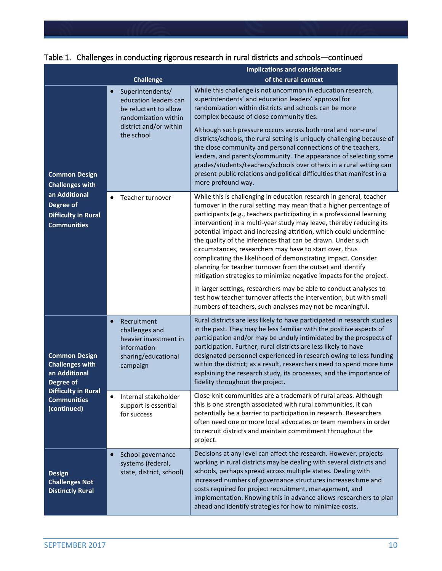|                                                                                                                                  |                                                                                                                                                 | <b>Implications and considerations</b>                                                                                                                                                                                                                                                                                                                                                                                                                                                                                                                                                                                                                                                                                                                                                                                                                                                                 |  |  |
|----------------------------------------------------------------------------------------------------------------------------------|-------------------------------------------------------------------------------------------------------------------------------------------------|--------------------------------------------------------------------------------------------------------------------------------------------------------------------------------------------------------------------------------------------------------------------------------------------------------------------------------------------------------------------------------------------------------------------------------------------------------------------------------------------------------------------------------------------------------------------------------------------------------------------------------------------------------------------------------------------------------------------------------------------------------------------------------------------------------------------------------------------------------------------------------------------------------|--|--|
|                                                                                                                                  | <b>Challenge</b>                                                                                                                                | of the rural context                                                                                                                                                                                                                                                                                                                                                                                                                                                                                                                                                                                                                                                                                                                                                                                                                                                                                   |  |  |
| <b>Common Design</b><br><b>Challenges with</b><br>an Additional<br>Degree of<br><b>Difficulty in Rural</b><br><b>Communities</b> | Superintendents/<br>$\bullet$<br>education leaders can<br>be reluctant to allow<br>randomization within<br>district and/or within<br>the school | While this challenge is not uncommon in education research,<br>superintendents' and education leaders' approval for<br>randomization within districts and schools can be more<br>complex because of close community ties.<br>Although such pressure occurs across both rural and non-rural<br>districts/schools, the rural setting is uniquely challenging because of<br>the close community and personal connections of the teachers,<br>leaders, and parents/community. The appearance of selecting some<br>grades/students/teachers/schools over others in a rural setting can<br>present public relations and political difficulties that manifest in a<br>more profound way.                                                                                                                                                                                                                      |  |  |
|                                                                                                                                  | Teacher turnover                                                                                                                                | While this is challenging in education research in general, teacher<br>turnover in the rural setting may mean that a higher percentage of<br>participants (e.g., teachers participating in a professional learning<br>intervention) in a multi-year study may leave, thereby reducing its<br>potential impact and increasing attrition, which could undermine<br>the quality of the inferences that can be drawn. Under such<br>circumstances, researchers may have to start over, thus<br>complicating the likelihood of demonstrating impact. Consider<br>planning for teacher turnover from the outset and identify<br>mitigation strategies to minimize negative impacts for the project.<br>In larger settings, researchers may be able to conduct analyses to<br>test how teacher turnover affects the intervention; but with small<br>numbers of teachers, such analyses may not be meaningful. |  |  |
| <b>Common Design</b><br><b>Challenges with</b><br>an Additional<br>Degree of                                                     | Recruitment<br>$\bullet$<br>challenges and<br>heavier investment in<br>information-<br>sharing/educational<br>campaign                          | Rural districts are less likely to have participated in research studies<br>in the past. They may be less familiar with the positive aspects of<br>participation and/or may be unduly intimidated by the prospects of<br>participation. Further, rural districts are less likely to have<br>designated personnel experienced in research owing to less funding<br>within the district; as a result, researchers need to spend more time<br>explaining the research study, its processes, and the importance of<br>fidelity throughout the project.                                                                                                                                                                                                                                                                                                                                                     |  |  |
| <b>Difficulty in Rural</b><br><b>Communities</b><br>(continued)                                                                  | Internal stakeholder<br>$\bullet$<br>support is essential<br>for success                                                                        | Close-knit communities are a trademark of rural areas. Although<br>this is one strength associated with rural communities, it can<br>potentially be a barrier to participation in research. Researchers<br>often need one or more local advocates or team members in order<br>to recruit districts and maintain commitment throughout the<br>project.                                                                                                                                                                                                                                                                                                                                                                                                                                                                                                                                                  |  |  |
| <b>Design</b><br><b>Challenges Not</b><br><b>Distinctly Rural</b>                                                                | School governance<br>$\bullet$<br>systems (federal,<br>state, district, school)                                                                 | Decisions at any level can affect the research. However, projects<br>working in rural districts may be dealing with several districts and<br>schools, perhaps spread across multiple states. Dealing with<br>increased numbers of governance structures increases time and<br>costs required for project recruitment, management, and<br>implementation. Knowing this in advance allows researchers to plan<br>ahead and identify strategies for how to minimize costs.                                                                                                                                                                                                                                                                                                                                                                                                                                |  |  |

|  | Table 1. Challenges in conducting rigorous research in rural districts and schools-continued |  |  |
|--|----------------------------------------------------------------------------------------------|--|--|
|  |                                                                                              |  |  |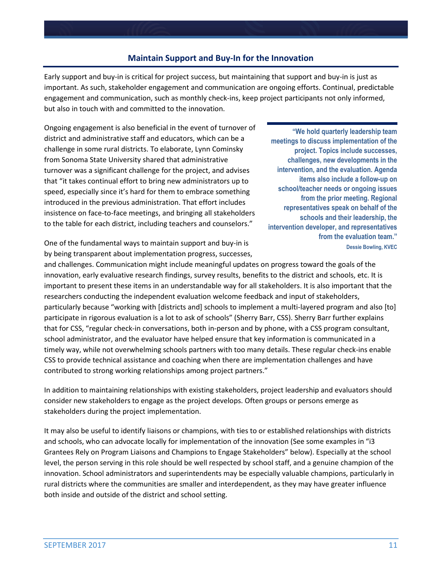### **Maintain Support and Buy-In for the Innovation**

Early support and buy-in is critical for project success, but maintaining that support and buy-in is just as important. As such, stakeholder engagement and communication are ongoing efforts. Continual, predictable engagement and communication, such as monthly check-ins, keep project participants not only informed, but also in touch with and committed to the innovation.

Ongoing engagement is also beneficial in the event of turnover of district and administrative staff and educators, which can be a challenge in some rural districts. To elaborate, Lynn Cominsky from Sonoma State University shared that administrative turnover was a significant challenge for the project, and advises that "it takes continual effort to bring new administrators up to speed, especially since it's hard for them to embrace something introduced in the previous administration. That effort includes insistence on face-to-face meetings, and bringing all stakeholders to the table for each district, including teachers and counselors."

**"We hold quarterly leadership team meetings to discuss implementation of the project. Topics include successes, challenges, new developments in the intervention, and the evaluation. Agenda items also include a follow-up on school/teacher needs or ongoing issues from the prior meeting. Regional representatives speak on behalf of the schools and their leadership, the intervention developer, and representatives from the evaluation team."**

**Deap of the fundamental ways to maintain support and buy-in is Dessigned Section** *Dessie Bowling, KVEC* by being transparent about implementation progress, successes,

and challenges. Communication might include meaningful updates on progress toward the goals of the innovation, early evaluative research findings, survey results, benefits to the district and schools, etc. It is important to present these items in an understandable way for all stakeholders. It is also important that the researchers conducting the independent evaluation welcome feedback and input of stakeholders, particularly because "working with [districts and] schools to implement a multi-layered program and also [to] participate in rigorous evaluation is a lot to ask of schools" (Sherry Barr, CSS). Sherry Barr further explains that for CSS, "regular check-in conversations, both in-person and by phone, with a CSS program consultant, school administrator, and the evaluator have helped ensure that key information is communicated in a timely way, while not overwhelming schools partners with too many details. These regular check-ins enable CSS to provide technical assistance and coaching when there are implementation challenges and have contributed to strong working relationships among project partners."

In addition to maintaining relationships with existing stakeholders, project leadership and evaluators should consider new stakeholders to engage as the project develops. Often groups or persons emerge as stakeholders during the project implementation.

It may also be useful to identify liaisons or champions, with ties to or established relationships with districts and schools, who can advocate locally for implementation of the innovation (See some examples in "i3 Grantees Rely on Program Liaisons and Champions to Engage Stakeholders" below). Especially at the school level, the person serving in this role should be well respected by school staff, and a genuine champion of the innovation. School administrators and superintendents may be especially valuable champions, particularly in rural districts where the communities are smaller and interdependent, as they may have greater influence both inside and outside of the district and school setting.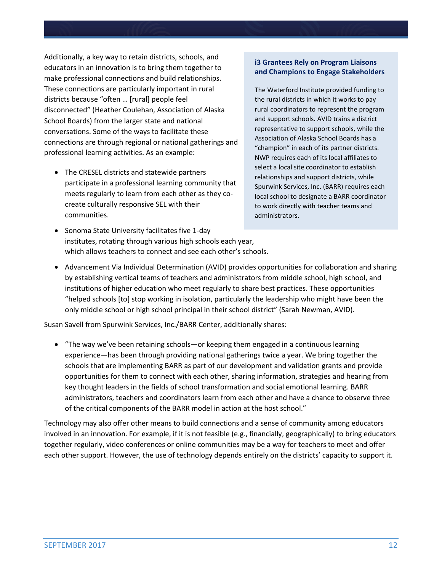Additionally, a key way to retain districts, schools, and educators in an innovation is to bring them together to make professional connections and build relationships. These connections are particularly important in rural districts because "often … [rural] people feel disconnected" (Heather Coulehan, Association of Alaska School Boards) from the larger state and national conversations. Some of the ways to facilitate these connections are through regional or national gatherings and professional learning activities. As an example:

• The CRESEL districts and statewide partners participate in a professional learning community that meets regularly to learn from each other as they cocreate culturally responsive SEL with their communities.

#### **i3 Grantees Rely on Program Liaisons and Champions to Engage Stakeholders**

The Waterford Institute provided funding to the rural districts in which it works to pay rural coordinators to represent the program and support schools. AVID trains a district representative to support schools, while the Association of Alaska School Boards has a "champion" in each of its partner districts. NWP requires each of its local affiliates to select a local site coordinator to establish relationships and support districts, while Spurwink Services, Inc. (BARR) requires each local school to designate a BARR coordinator to work directly with teacher teams and administrators.

- Sonoma State University facilitates five 1-day institutes, rotating through various high schools each year, which allows teachers to connect and see each other's schools.
- Advancement Via Individual Determination (AVID) provides opportunities for collaboration and sharing by establishing vertical teams of teachers and administrators from middle school, high school, and institutions of higher education who meet regularly to share best practices. These opportunities "helped schools [to] stop working in isolation, particularly the leadership who might have been the only middle school or high school principal in their school district" (Sarah Newman, AVID).

Susan Savell from Spurwink Services, Inc./BARR Center, additionally shares:

• "The way we've been retaining schools—or keeping them engaged in a continuous learning experience—has been through providing national gatherings twice a year. We bring together the schools that are implementing BARR as part of our development and validation grants and provide opportunities for them to connect with each other, sharing information, strategies and hearing from key thought leaders in the fields of school transformation and social emotional learning. BARR administrators, teachers and coordinators learn from each other and have a chance to observe three of the critical components of the BARR model in action at the host school."

Technology may also offer other means to build connections and a sense of community among educators involved in an innovation. For example, if it is not feasible (e.g., financially, geographically) to bring educators together regularly, video conferences or online communities may be a way for teachers to meet and offer each other support. However, the use of technology depends entirely on the districts' capacity to support it.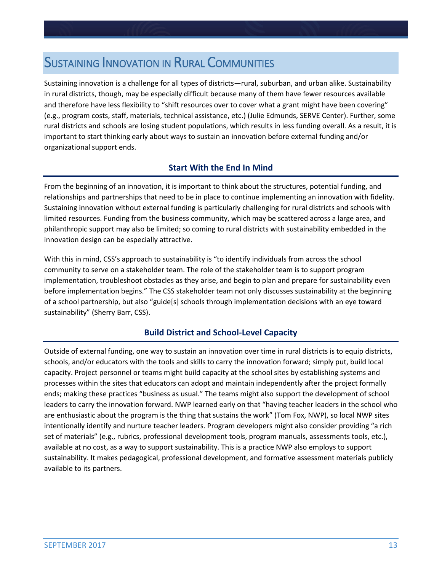## **SUSTAINING INNOVATION IN RURAL COMMUNITIES**

Sustaining innovation is a challenge for all types of districts—rural, suburban, and urban alike. Sustainability in rural districts, though, may be especially difficult because many of them have fewer resources available and therefore have less flexibility to "shift resources over to cover what a grant might have been covering" (e.g., program costs, staff, materials, technical assistance, etc.) (Julie Edmunds, SERVE Center). Further, some rural districts and schools are losing student populations, which results in less funding overall. As a result, it is important to start thinking early about ways to sustain an innovation before external funding and/or organizational support ends.

## **Start With the End In Mind**

From the beginning of an innovation, it is important to think about the structures, potential funding, and relationships and partnerships that need to be in place to continue implementing an innovation with fidelity. Sustaining innovation without external funding is particularly challenging for rural districts and schools with limited resources. Funding from the business community, which may be scattered across a large area, and philanthropic support may also be limited; so coming to rural districts with sustainability embedded in the innovation design can be especially attractive.

With this in mind, CSS's approach to sustainability is "to identify individuals from across the school community to serve on a stakeholder team. The role of the stakeholder team is to support program implementation, troubleshoot obstacles as they arise, and begin to plan and prepare for sustainability even before implementation begins." The CSS stakeholder team not only discusses sustainability at the beginning of a school partnership, but also "guide[s] schools through implementation decisions with an eye toward sustainability" (Sherry Barr, CSS).

### **Build District and School-Level Capacity**

Outside of external funding, one way to sustain an innovation over time in rural districts is to equip districts, schools, and/or educators with the tools and skills to carry the innovation forward; simply put, build local capacity. Project personnel or teams might build capacity at the school sites by establishing systems and processes within the sites that educators can adopt and maintain independently after the project formally ends; making these practices "business as usual." The teams might also support the development of school leaders to carry the innovation forward. NWP learned early on that "having teacher leaders in the school who are enthusiastic about the program is the thing that sustains the work" (Tom Fox, NWP), so local NWP sites intentionally identify and nurture teacher leaders. Program developers might also consider providing "a rich set of materials" (e.g., rubrics, professional development tools, program manuals, assessments tools, etc.), available at no cost, as a way to support sustainability. This is a practice NWP also employs to support sustainability. It makes pedagogical, professional development, and formative assessment materials publicly available to its partners.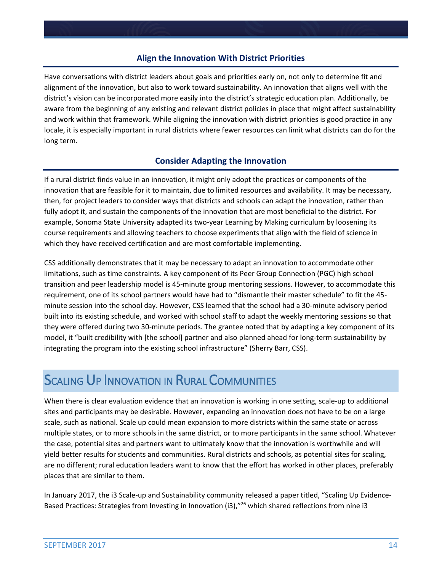### **Align the Innovation With District Priorities**

Have conversations with district leaders about goals and priorities early on, not only to determine fit and alignment of the innovation, but also to work toward sustainability. An innovation that aligns well with the district's vision can be incorporated more easily into the district's strategic education plan. Additionally, be aware from the beginning of any existing and relevant district policies in place that might affect sustainability and work within that framework. While aligning the innovation with district priorities is good practice in any locale, it is especially important in rural districts where fewer resources can limit what districts can do for the long term.

### **Consider Adapting the Innovation**

If a rural district finds value in an innovation, it might only adopt the practices or components of the innovation that are feasible for it to maintain, due to limited resources and availability. It may be necessary, then, for project leaders to consider ways that districts and schools can adapt the innovation, rather than fully adopt it, and sustain the components of the innovation that are most beneficial to the district. For example, Sonoma State University adapted its two-year Learning by Making curriculum by loosening its course requirements and allowing teachers to choose experiments that align with the field of science in which they have received certification and are most comfortable implementing.

CSS additionally demonstrates that it may be necessary to adapt an innovation to accommodate other limitations, such as time constraints. A key component of its Peer Group Connection (PGC) high school transition and peer leadership model is 45-minute group mentoring sessions. However, to accommodate this requirement, one of its school partners would have had to "dismantle their master schedule" to fit the 45 minute session into the school day. However, CSS learned that the school had a 30-minute advisory period built into its existing schedule, and worked with school staff to adapt the weekly mentoring sessions so that they were offered during two 30-minute periods. The grantee noted that by adapting a key component of its model, it "built credibility with [the school] partner and also planned ahead for long-term sustainability by integrating the program into the existing school infrastructure" (Sherry Barr, CSS).

## **SCALING UP INNOVATION IN RURAL COMMUNITIES**

When there is clear evaluation evidence that an innovation is working in one setting, scale-up to additional sites and participants may be desirable. However, expanding an innovation does not have to be on a large scale, such as national. Scale up could mean expansion to more districts within the same state or across multiple states, or to more schools in the same district, or to more participants in the same school. Whatever the case, potential sites and partners want to ultimately know that the innovation is worthwhile and will yield better results for students and communities. Rural districts and schools, as potential sites for scaling, are no different; rural education leaders want to know that the effort has worked in other places, preferably places that are similar to them.

In January 2017, the i3 Scale-up and Sustainability community released a paper titled, "Scaling Up Evidence-Based Practices: Strategies from Investing in Innovation (i3),"<sup>26</sup> which shared reflections from nine i3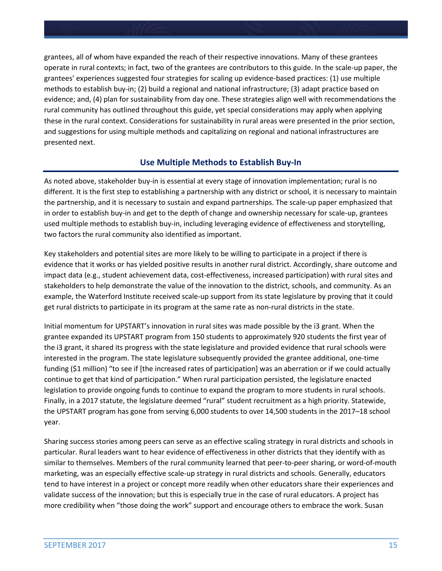grantees, all of whom have expanded the reach of their respective innovations. Many of these grantees operate in rural contexts; in fact, two of the grantees are contributors to this guide. In the scale-up paper, the grantees' experiences suggested four strategies for scaling up evidence-based practices: (1) use multiple methods to establish buy-in; (2) build a regional and national infrastructure; (3) adapt practice based on evidence; and, (4) plan for sustainability from day one. These strategies align well with recommendations the rural community has outlined throughout this guide, yet special considerations may apply when applying these in the rural context. Considerations for sustainability in rural areas were presented in the prior section, and suggestions for using multiple methods and capitalizing on regional and national infrastructures are presented next.

## **Use Multiple Methods to Establish Buy-In**

As noted above, stakeholder buy-in is essential at every stage of innovation implementation; rural is no different. It is the first step to establishing a partnership with any district or school, it is necessary to maintain the partnership, and it is necessary to sustain and expand partnerships. The scale-up paper emphasized that in order to establish buy-in and get to the depth of change and ownership necessary for scale-up, grantees used multiple methods to establish buy-in, including leveraging evidence of effectiveness and storytelling, two factors the rural community also identified as important.

Key stakeholders and potential sites are more likely to be willing to participate in a project if there is evidence that it works or has yielded positive results in another rural district. Accordingly, share outcome and impact data (e.g., student achievement data, cost-effectiveness, increased participation) with rural sites and stakeholders to help demonstrate the value of the innovation to the district, schools, and community. As an example, the Waterford Institute received scale-up support from its state legislature by proving that it could get rural districts to participate in its program at the same rate as non-rural districts in the state.

Initial momentum for UPSTART's innovation in rural sites was made possible by the i3 grant. When the grantee expanded its UPSTART program from 150 students to approximately 920 students the first year of the i3 grant, it shared its progress with the state legislature and provided evidence that rural schools were interested in the program. The state legislature subsequently provided the grantee additional, one-time funding (\$1 million) "to see if [the increased rates of participation] was an aberration or if we could actually continue to get that kind of participation." When rural participation persisted, the legislature enacted legislation to provide ongoing funds to continue to expand the program to more students in rural schools. Finally, in a 2017 statute, the legislature deemed "rural" student recruitment as a high priority. Statewide, the UPSTART program has gone from serving 6,000 students to over 14,500 students in the 2017–18 school year.

Sharing success stories among peers can serve as an effective scaling strategy in rural districts and schools in particular. Rural leaders want to hear evidence of effectiveness in other districts that they identify with as similar to themselves. Members of the rural community learned that peer-to-peer sharing, or word-of-mouth marketing, was an especially effective scale-up strategy in rural districts and schools. Generally, educators tend to have interest in a project or concept more readily when other educators share their experiences and validate success of the innovation; but this is especially true in the case of rural educators. A project has more credibility when "those doing the work" support and encourage others to embrace the work. Susan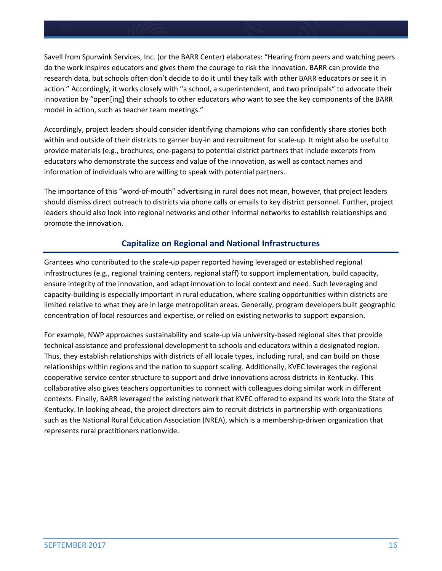Savell from Spurwink Services, Inc. (or the BARR Center) elaborates: "Hearing from peers and watching peers do the work inspires educators and gives them the courage to risk the innovation. BARR can provide the research data, but schools often don't decide to do it until they talk with other BARR educators or see it in action." Accordingly, it works closely with "a school, a superintendent, and two principals" to advocate their innovation by "open[ing] their schools to other educators who want to see the key components of the BARR model in action, such as teacher team meetings."

Accordingly, project leaders should consider identifying champions who can confidently share stories both within and outside of their districts to garner buy-in and recruitment for scale-up. It might also be useful to provide materials (e.g., brochures, one-pagers) to potential district partners that include excerpts from educators who demonstrate the success and value of the innovation, as well as contact names and information of individuals who are willing to speak with potential partners.

The importance of this "word-of-mouth" advertising in rural does not mean, however, that project leaders should dismiss direct outreach to districts via phone calls or emails to key district personnel. Further, project leaders should also look into regional networks and other informal networks to establish relationships and promote the innovation.

## **Capitalize on Regional and National Infrastructures**

Grantees who contributed to the scale-up paper reported having leveraged or established regional infrastructures (e.g., regional training centers, regional staff) to support implementation, build capacity, ensure integrity of the innovation, and adapt innovation to local context and need. Such leveraging and capacity-building is especially important in rural education, where scaling opportunities within districts are limited relative to what they are in large metropolitan areas. Generally, program developers built geographic concentration of local resources and expertise, or relied on existing networks to support expansion.

For example, NWP approaches sustainability and scale-up via university-based regional sites that provide technical assistance and professional development to schools and educators within a designated region. Thus, they establish relationships with districts of all locale types, including rural, and can build on those relationships within regions and the nation to support scaling. Additionally, KVEC leverages the regional cooperative service center structure to support and drive innovations across districts in Kentucky. This collaborative also gives teachers opportunities to connect with colleagues doing similar work in different contexts. Finally, BARR leveraged the existing network that KVEC offered to expand its work into the State of Kentucky. In looking ahead, the project directors aim to recruit districts in partnership with organizations such as the National Rural Education Association (NREA), which is a membership-driven organization that represents rural practitioners nationwide.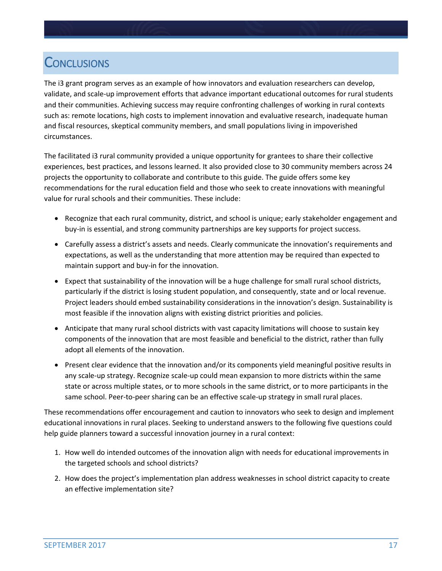## **CONCLUSIONS**

The i3 grant program serves as an example of how innovators and evaluation researchers can develop, validate, and scale-up improvement efforts that advance important educational outcomes for rural students and their communities. Achieving success may require confronting challenges of working in rural contexts such as: remote locations, high costs to implement innovation and evaluative research, inadequate human and fiscal resources, skeptical community members, and small populations living in impoverished circumstances.

The facilitated i3 rural community provided a unique opportunity for grantees to share their collective experiences, best practices, and lessons learned. It also provided close to 30 community members across 24 projects the opportunity to collaborate and contribute to this guide. The guide offers some key recommendations for the rural education field and those who seek to create innovations with meaningful value for rural schools and their communities. These include:

- Recognize that each rural community, district, and school is unique; early stakeholder engagement and buy-in is essential, and strong community partnerships are key supports for project success.
- Carefully assess a district's assets and needs. Clearly communicate the innovation's requirements and expectations, as well as the understanding that more attention may be required than expected to maintain support and buy-in for the innovation.
- Expect that sustainability of the innovation will be a huge challenge for small rural school districts, particularly if the district is losing student population, and consequently, state and or local revenue. Project leaders should embed sustainability considerations in the innovation's design. Sustainability is most feasible if the innovation aligns with existing district priorities and policies.
- Anticipate that many rural school districts with vast capacity limitations will choose to sustain key components of the innovation that are most feasible and beneficial to the district, rather than fully adopt all elements of the innovation.
- Present clear evidence that the innovation and/or its components yield meaningful positive results in any scale-up strategy. Recognize scale-up could mean expansion to more districts within the same state or across multiple states, or to more schools in the same district, or to more participants in the same school. Peer-to-peer sharing can be an effective scale-up strategy in small rural places.

These recommendations offer encouragement and caution to innovators who seek to design and implement educational innovations in rural places. Seeking to understand answers to the following five questions could help guide planners toward a successful innovation journey in a rural context:

- 1. How well do intended outcomes of the innovation align with needs for educational improvements in the targeted schools and school districts?
- 2. How does the project's implementation plan address weaknesses in school district capacity to create an effective implementation site?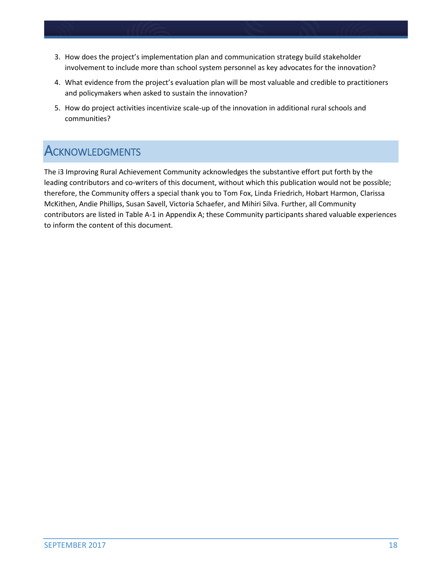- 3. How does the project's implementation plan and communication strategy build stakeholder involvement to include more than school system personnel as key advocates for the innovation?
- 4. What evidence from the project's evaluation plan will be most valuable and credible to practitioners and policymakers when asked to sustain the innovation?
- 5. How do project activities incentivize scale-up of the innovation in additional rural schools and communities?

## **ACKNOWLEDGMENTS**

The i3 Improving Rural Achievement Community acknowledges the substantive effort put forth by the leading contributors and co-writers of this document, without which this publication would not be possible; therefore, the Community offers a special thank you to Tom Fox, Linda Friedrich, Hobart Harmon, Clarissa McKithen, Andie Phillips, Susan Savell, Victoria Schaefer, and Mihiri Silva. Further, all Community contributors are listed in Table A-1 in Appendix A; these Community participants shared valuable experiences to inform the content of this document.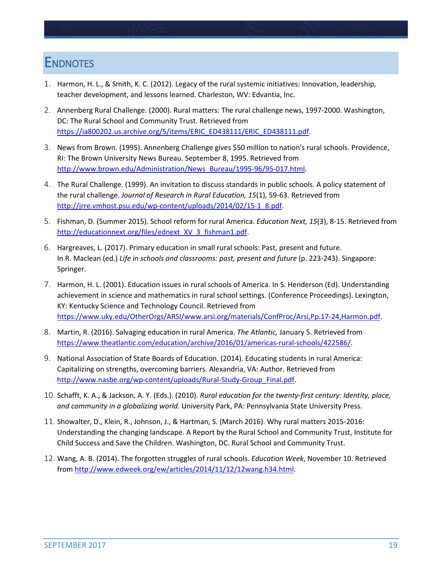## **ENDNOTES**

- 1. Harmon, H. L., & Smith, K. C. (2012). Legacy of the rural systemic initiatives: Innovation, leadership, teacher development, and lessons learned. Charleston, WV: Edvantia, Inc.
- 2. Annenberg Rural Challenge. (2000). Rural matters: The rural challenge news, 1997-2000. Washington, DC: The Rural School and Community Trust. Retrieved from [https://ia800202.us.archive.org/5/items/ERIC\\_ED438111/ERIC\\_ED438111.pdf.](https://ia800202.us.archive.org/5/items/ERIC_ED438111/ERIC_ED438111.pdf)
- 3. News from Brown. (1995). Annenberg Challenge gives \$50 million to nation's rural schools. Providence, RI: The Brown University News Bureau. September 8, 1995. Retrieved from [http://www.brown.edu/Administration/News\\_Bureau/1995-96/95-017.html.](http://www.brown.edu/Administration/News_Bureau/1995-96/95-017.html)
- 4. The Rural Challenge. (1999). An invitation to discuss standards in public schools. A policy statement of the rural challenge. *Journal of Research in Rural Education, 15*(1), 59-63. Retrieved from [http://jrre.vmhost.psu.edu/wp-content/uploads/2014/02/15-1\\_8.pdf.](http://jrre.vmhost.psu.edu/wp-content/uploads/2014/02/15-1_8.pdf)
- 5. Fishman, D. (Summer 2015). School reform for rural America. *Education Next, 15*(3), 8-15. Retrieved from http://educationnext.org/files/ednext\_XV\_3\_fishman1.pdf.
- 6. Hargreaves, L. (2017). Primary education in small rural schools: Past, present and future. In R. Maclean (ed.) *Life in schools and classrooms: past, present and future* (p. 223-243). Singapore: Springer.
- 7. Harmon, H. L. (2001). Education issues in rural schools of America. In S. Henderson (Ed). Understanding achievement in science and mathematics in rural school settings. (Conference Proceedings). Lexington, KY: Kentucky Science and Technology Council. Retrieved from [https://www.uky.edu/OtherOrgs/ARSI/www.arsi.org/materials/ConfProc/Arsi,Pp.17-24,Harmon.pdf.](https://www.uky.edu/OtherOrgs/ARSI/www.arsi.org/materials/ConfProc/Arsi,Pp.17-24,Harmon.pdf)
- 8. Martin, R. (2016). Salvaging education in rural America. *The Atlantic,* January 5. Retrieved from [https://www.theatlantic.com/education/archive/2016/01/americas-rural-schools/422586/.](https://www.theatlantic.com/education/archive/2016/01/americas-rural-schools/422586/)
- 9. National Association of State Boards of Education. (2014). Educating students in rural America: Capitalizing on strengths, overcoming barriers. Alexandria, VA: Author. Retrieved from [http://www.nasbe.org/wp-content/uploads/Rural-Study-Group\\_Final.pdf.](http://www.nasbe.org/wp-content/uploads/Rural-Study-Group_Final.pdf)
- 10. Schafft, K. A., & Jackson, A. Y. (Eds.). (2010). *Rural education for the twenty-first century: Identity, place, and community in a globalizing world.* University Park, PA: Pennsylvania State University Press.
- 11. Showalter, D., Klein, R., Johnson, J., & Hartman, S. (March 2016). Why rural matters 2015-2016: Understanding the changing landscape. A Report by the Rural School and Community Trust, Institute for Child Success and Save the Children. Washington, DC. Rural School and Community Trust.
- 12. Wang, A. B. (2014). The forgotten struggles of rural schools. *Education Week*, November 10. Retrieved fro[m http://www.edweek.org/ew/articles/2014/11/12/12wang.h34.html.](http://www.edweek.org/ew/articles/2014/11/12/12wang.h34.html)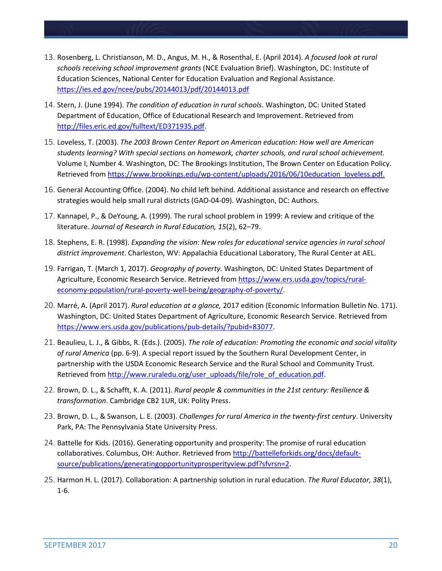- 13. Rosenberg, L. Christianson, M. D., Angus, M. H., & Rosenthal, E. (April 2014). *A focused look at rural schools receiving school improvement grants* (NCE Evaluation Brief). Washington, DC: Institute of Education Sciences, National Center for Education Evaluation and Regional Assistance. <https://ies.ed.gov/ncee/pubs/20144013/pdf/20144013.pdf>
- 14. Stern, J. (June 1994). *The condition of education in rural schools*. Washington, DC: United Stated Department of Education, Office of Educational Research and Improvement. Retrieved from [http://files.eric.ed.gov/fulltext/ED371935.pdf.](http://files.eric.ed.gov/fulltext/ED371935.pdf)
- 15. Loveless, T. (2003). *The 2003 Brown Center Report on American education: How well are American students learning? With special sections on homework, charter schools, and rural school achievement.*  Volume I, Number 4. Washington, DC: The Brookings Institution, The Brown Center on Education Policy. Retrieved from [https://www.brookings.edu/wp-content/uploads/2016/06/10education\\_loveless.pdf.](https://www.brookings.edu/wp-content/uploads/2016/06/10education_loveless.pdf)
- 16. General Accounting Office. (2004). No child left behind. Additional assistance and research on effective strategies would help small rural districts (GAO-04-09). Washington, DC: Authors.
- 17. Kannapel, P., & DeYoung, A. (1999). The rural school problem in 1999: A review and critique of the literature. *Journal of Research in Rural Education, 15*(2), 62–79.
- 18. Stephens, E. R. (1998). *Expanding the vision: New roles for educational service agencies in rural school district improvement*. Charleston, WV: Appalachia Educational Laboratory, The Rural Center at AEL.
- 19. Farrigan, T. (March 1, 2017). *Geography of poverty.* Washington, DC: United States Department of Agriculture, Economic Research Service. Retrieved from [https://www.ers.usda.gov/topics/rural](https://www.ers.usda.gov/topics/rural-economy-population/rural-poverty-well-being/geography-of-poverty/)[economy-population/rural-poverty-well-being/geography-of-poverty/.](https://www.ers.usda.gov/topics/rural-economy-population/rural-poverty-well-being/geography-of-poverty/)
- 20. Marré, A. (April 2017). *Rural education at a glance,* 2017 edition (Economic Information Bulletin No. 171). Washington, DC: United States Department of Agriculture, Economic Research Service. Retrieved from [https://www.ers.usda.gov/publications/pub-details/?pubid=83077.](https://www.ers.usda.gov/publications/pub-details/?pubid=83077)
- 21. Beaulieu, L. J., & Gibbs, R. (Eds.). (2005). *The role of education: Promoting the economic and social vitality of rural America* (pp. 6-9). A special report issued by the Southern Rural Development Center, in partnership with the USDA Economic Research Service and the Rural School and Community Trust. Retrieved from [http://www.ruraledu.org/user\\_uploads/file/role\\_of\\_education.pdf.](http://www.ruraledu.org/user_uploads/file/role_of_education.pdf)
- 22. Brown, D. L., & Schafft, K. A. (2011). *Rural people & communities in the 21st century: Resilience & transformation*. Cambridge CB2 1UR, UK: Polity Press.
- 23. Brown, D. L., & Swanson, L. E. (2003). *Challenges for rural America in the twenty-first century*. University Park, PA: The Pennsylvania State University Press.
- 24. Battelle for Kids. (2016). Generating opportunity and prosperity: The promise of rural education collaboratives. Columbus, OH: Author. Retrieved fro[m http://battelleforkids.org/docs/default](http://battelleforkids.org/docs/default-source/publications/generatingopportunityprosperityview.pdf?sfvrsn=2)[source/publications/generatingopportunityprosperityview.pdf?sfvrsn=2.](http://battelleforkids.org/docs/default-source/publications/generatingopportunityprosperityview.pdf?sfvrsn=2)
- 25. Harmon H. L. (2017). Collaboration: A partnership solution in rural education. *The Rural Educator, 38*(1), 1-6.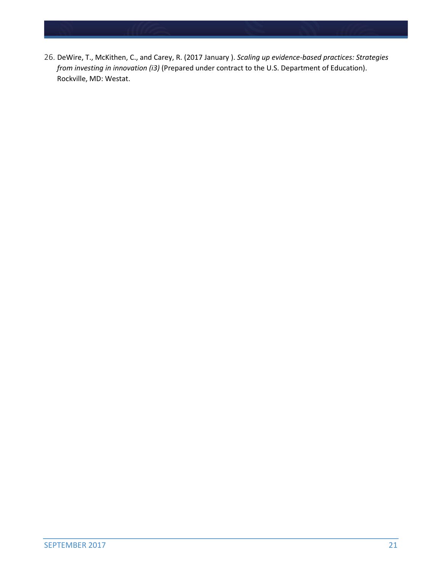26. DeWire, T., McKithen, C., and Carey, R. (2017 January ). *Scaling up evidence-based practices: Strategies from investing in innovation (i3)* (Prepared under contract to the U.S. Department of Education). Rockville, MD: Westat.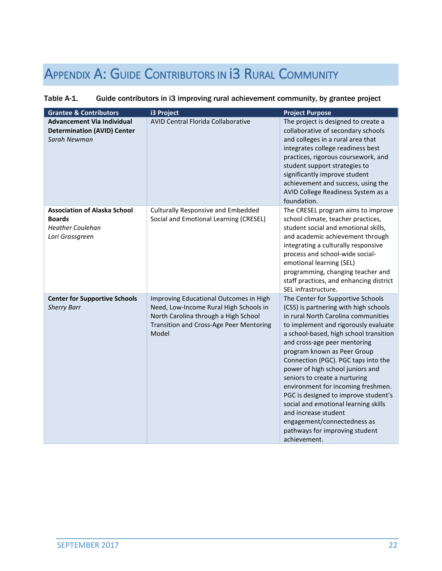# APPENDIX A: GUIDE CONTRIBUTORS IN 13 RURAL COMMUNITY

### Table A-1. Guide contributors in i3 improving rural achievement community, by grantee project

| <b>Grantee &amp; Contributors</b>                                                                  | i3 Project                                                                                                                                                                   | <b>Project Purpose</b>                                                                                                                                                                                                                                                                                                                                                                                                                                                                                                                                                                                        |
|----------------------------------------------------------------------------------------------------|------------------------------------------------------------------------------------------------------------------------------------------------------------------------------|---------------------------------------------------------------------------------------------------------------------------------------------------------------------------------------------------------------------------------------------------------------------------------------------------------------------------------------------------------------------------------------------------------------------------------------------------------------------------------------------------------------------------------------------------------------------------------------------------------------|
| <b>Advancement Via Individual</b><br><b>Determination (AVID) Center</b><br>Sarah Newman            | AVID Central Florida Collaborative                                                                                                                                           | The project is designed to create a<br>collaborative of secondary schools<br>and colleges in a rural area that<br>integrates college readiness best<br>practices, rigorous coursework, and<br>student support strategies to<br>significantly improve student<br>achievement and success, using the<br>AVID College Readiness System as a<br>foundation.                                                                                                                                                                                                                                                       |
| <b>Association of Alaska School</b><br><b>Boards</b><br><b>Heather Coulehan</b><br>Lori Grassgreen | <b>Culturally Responsive and Embedded</b><br>Social and Emotional Learning (CRESEL)                                                                                          | The CRESEL program aims to improve<br>school climate, teacher practices,<br>student social and emotional skills,<br>and academic achievement through<br>integrating a culturally responsive<br>process and school-wide social-<br>emotional learning (SEL)<br>programming, changing teacher and<br>staff practices, and enhancing district<br>SEL infrastructure.                                                                                                                                                                                                                                             |
| <b>Center for Supportive Schools</b><br><b>Sherry Barr</b>                                         | Improving Educational Outcomes in High<br>Need, Low-Income Rural High Schools in<br>North Carolina through a High School<br>Transition and Cross-Age Peer Mentoring<br>Model | The Center for Supportive Schools<br>(CSS) is partnering with high schools<br>in rural North Carolina communities<br>to implement and rigorously evaluate<br>a school-based, high school transition<br>and cross-age peer mentoring<br>program known as Peer Group<br>Connection (PGC). PGC taps into the<br>power of high school juniors and<br>seniors to create a nurturing<br>environment for incoming freshmen.<br>PGC is designed to improve student's<br>social and emotional learning skills<br>and increase student<br>engagement/connectedness as<br>pathways for improving student<br>achievement. |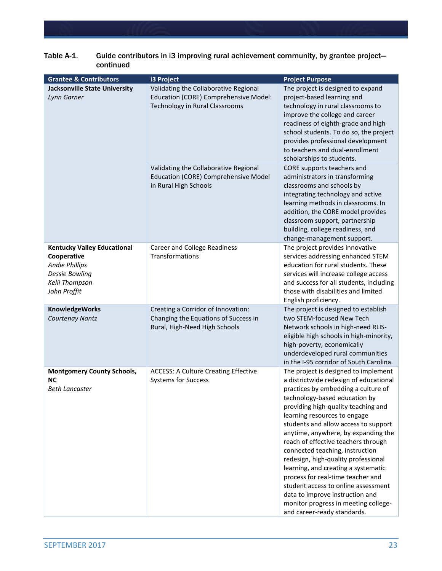| <b>Grantee &amp; Contributors</b>                                                                                                     | i3 Project                                                                                                                                                | <b>Project Purpose</b>                                                                                                                                                                                                                                                                                                                                                                                                                                                                                                                                                                                                                                     |
|---------------------------------------------------------------------------------------------------------------------------------------|-----------------------------------------------------------------------------------------------------------------------------------------------------------|------------------------------------------------------------------------------------------------------------------------------------------------------------------------------------------------------------------------------------------------------------------------------------------------------------------------------------------------------------------------------------------------------------------------------------------------------------------------------------------------------------------------------------------------------------------------------------------------------------------------------------------------------------|
| <b>Jacksonville State University</b><br>Lynn Garner                                                                                   | Validating the Collaborative Regional<br>Education (CORE) Comprehensive Model:<br>Technology in Rural Classrooms<br>Validating the Collaborative Regional | The project is designed to expand<br>project-based learning and<br>technology in rural classrooms to<br>improve the college and career<br>readiness of eighth-grade and high<br>school students. To do so, the project<br>provides professional development<br>to teachers and dual-enrollment<br>scholarships to students.<br>CORE supports teachers and                                                                                                                                                                                                                                                                                                  |
|                                                                                                                                       | Education (CORE) Comprehensive Model<br>in Rural High Schools                                                                                             | administrators in transforming<br>classrooms and schools by<br>integrating technology and active<br>learning methods in classrooms. In<br>addition, the CORE model provides<br>classroom support, partnership<br>building, college readiness, and<br>change-management support.                                                                                                                                                                                                                                                                                                                                                                            |
| <b>Kentucky Valley Educational</b><br>Cooperative<br><b>Andie Phillips</b><br><b>Dessie Bowling</b><br>Kelli Thompson<br>John Proffit | <b>Career and College Readiness</b><br>Transformations                                                                                                    | The project provides innovative<br>services addressing enhanced STEM<br>education for rural students. These<br>services will increase college access<br>and success for all students, including<br>those with disabilities and limited<br>English proficiency.                                                                                                                                                                                                                                                                                                                                                                                             |
| <b>KnowledgeWorks</b><br>Courtenay Nantz                                                                                              | Creating a Corridor of Innovation:<br>Changing the Equations of Success in<br>Rural, High-Need High Schools                                               | The project is designed to establish<br>two STEM-focused New Tech<br>Network schools in high-need RLIS-<br>eligible high schools in high-minority,<br>high-poverty, economically<br>underdeveloped rural communities<br>in the I-95 corridor of South Carolina.                                                                                                                                                                                                                                                                                                                                                                                            |
| <b>Montgomery County Schools,</b><br><b>NC</b><br><b>Beth Lancaster</b>                                                               | <b>ACCESS: A Culture Creating Effective</b><br><b>Systems for Success</b>                                                                                 | The project is designed to implement<br>a districtwide redesign of educational<br>practices by embedding a culture of<br>technology-based education by<br>providing high-quality teaching and<br>learning resources to engage<br>students and allow access to support<br>anytime, anywhere, by expanding the<br>reach of effective teachers through<br>connected teaching, instruction<br>redesign, high-quality professional<br>learning, and creating a systematic<br>process for real-time teacher and<br>student access to online assessment<br>data to improve instruction and<br>monitor progress in meeting college-<br>and career-ready standards. |

#### Table A-1. Guide contributors in i3 improving rural achievement community, by grantee projectcontinued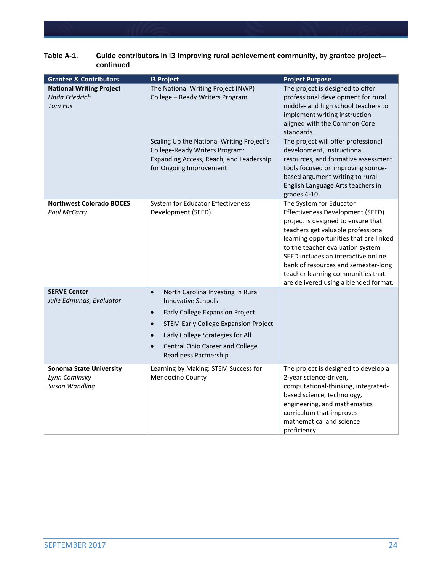| <b>Grantee &amp; Contributors</b>                                        | i3 Project                                                                                                                                                                                                                                                                                                        | <b>Project Purpose</b>                                                                                                                                                                                                                                                                                                                                                             |
|--------------------------------------------------------------------------|-------------------------------------------------------------------------------------------------------------------------------------------------------------------------------------------------------------------------------------------------------------------------------------------------------------------|------------------------------------------------------------------------------------------------------------------------------------------------------------------------------------------------------------------------------------------------------------------------------------------------------------------------------------------------------------------------------------|
| <b>National Writing Project</b><br>Linda Friedrich<br><b>Tom Fox</b>     | The National Writing Project (NWP)<br>College - Ready Writers Program                                                                                                                                                                                                                                             | The project is designed to offer<br>professional development for rural<br>middle- and high school teachers to<br>implement writing instruction<br>aligned with the Common Core<br>standards.                                                                                                                                                                                       |
|                                                                          | Scaling Up the National Writing Project's<br>College-Ready Writers Program:<br>Expanding Access, Reach, and Leadership<br>for Ongoing Improvement                                                                                                                                                                 | The project will offer professional<br>development, instructional<br>resources, and formative assessment<br>tools focused on improving source-<br>based argument writing to rural<br>English Language Arts teachers in<br>grades 4-10.                                                                                                                                             |
| <b>Northwest Colorado BOCES</b><br><b>Paul McCarty</b>                   | System for Educator Effectiveness<br>Development (SEED)                                                                                                                                                                                                                                                           | The System for Educator<br>Effectiveness Development (SEED)<br>project is designed to ensure that<br>teachers get valuable professional<br>learning opportunities that are linked<br>to the teacher evaluation system.<br>SEED includes an interactive online<br>bank of resources and semester-long<br>teacher learning communities that<br>are delivered using a blended format. |
| <b>SERVE Center</b><br>Julie Edmunds, Evaluator                          | North Carolina Investing in Rural<br>$\bullet$<br><b>Innovative Schools</b><br>Early College Expansion Project<br>$\bullet$<br><b>STEM Early College Expansion Project</b><br>$\bullet$<br>Early College Strategies for All<br>$\bullet$<br>Central Ohio Career and College<br>$\bullet$<br>Readiness Partnership |                                                                                                                                                                                                                                                                                                                                                                                    |
| <b>Sonoma State University</b><br>Lynn Cominsky<br><b>Susan Wandling</b> | Learning by Making: STEM Success for<br>Mendocino County                                                                                                                                                                                                                                                          | The project is designed to develop a<br>2-year science-driven,<br>computational-thinking, integrated-<br>based science, technology,<br>engineering, and mathematics<br>curriculum that improves<br>mathematical and science<br>proficiency.                                                                                                                                        |

#### Table A-1. Guide contributors in i3 improving rural achievement community, by grantee projectcontinued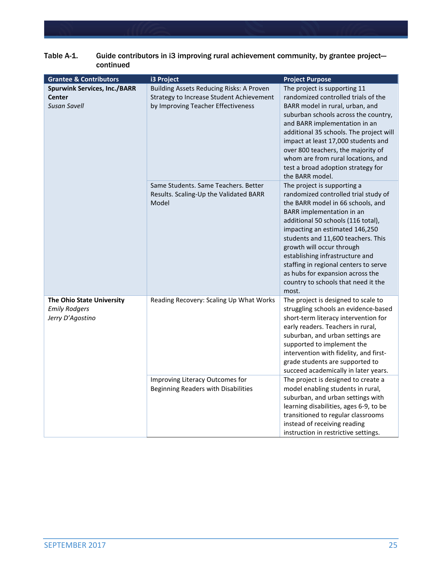| <b>Grantee &amp; Contributors</b>                                           | i3 Project                                                                                                                 | <b>Project Purpose</b>                                                                                                                                                                                                                                                                                                                                                                                                                           |
|-----------------------------------------------------------------------------|----------------------------------------------------------------------------------------------------------------------------|--------------------------------------------------------------------------------------------------------------------------------------------------------------------------------------------------------------------------------------------------------------------------------------------------------------------------------------------------------------------------------------------------------------------------------------------------|
| <b>Spurwink Services, Inc./BARR</b><br><b>Center</b><br><b>Susan Savell</b> | Building Assets Reducing Risks: A Proven<br>Strategy to Increase Student Achievement<br>by Improving Teacher Effectiveness | The project is supporting 11<br>randomized controlled trials of the<br>BARR model in rural, urban, and<br>suburban schools across the country,<br>and BARR implementation in an<br>additional 35 schools. The project will<br>impact at least 17,000 students and<br>over 800 teachers, the majority of<br>whom are from rural locations, and<br>test a broad adoption strategy for<br>the BARR model.                                           |
|                                                                             | Same Students. Same Teachers. Better<br>Results. Scaling-Up the Validated BARR<br>Model                                    | The project is supporting a<br>randomized controlled trial study of<br>the BARR model in 66 schools, and<br>BARR implementation in an<br>additional 50 schools (116 total),<br>impacting an estimated 146,250<br>students and 11,600 teachers. This<br>growth will occur through<br>establishing infrastructure and<br>staffing in regional centers to serve<br>as hubs for expansion across the<br>country to schools that need it the<br>most. |
| The Ohio State University<br><b>Emily Rodgers</b><br>Jerry D'Agostino       | Reading Recovery: Scaling Up What Works<br>Improving Literacy Outcomes for                                                 | The project is designed to scale to<br>struggling schools an evidence-based<br>short-term literacy intervention for<br>early readers. Teachers in rural,<br>suburban, and urban settings are<br>supported to implement the<br>intervention with fidelity, and first-<br>grade students are supported to<br>succeed academically in later years.<br>The project is designed to create a                                                           |
|                                                                             | Beginning Readers with Disabilities                                                                                        | model enabling students in rural,<br>suburban, and urban settings with<br>learning disabilities, ages 6-9, to be<br>transitioned to regular classrooms<br>instead of receiving reading<br>instruction in restrictive settings.                                                                                                                                                                                                                   |

#### Table A-1. Guide contributors in i3 improving rural achievement community, by grantee projectcontinued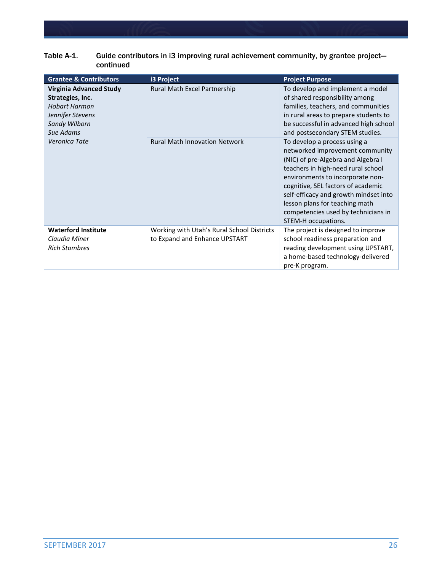| Table A-1.<br>Guide contributors in i3 improving rural achievement community, by grantee project-<br>continued                      |                                                                             |                                                                                                                                                                                                                                                                                                                                                                |  |  |
|-------------------------------------------------------------------------------------------------------------------------------------|-----------------------------------------------------------------------------|----------------------------------------------------------------------------------------------------------------------------------------------------------------------------------------------------------------------------------------------------------------------------------------------------------------------------------------------------------------|--|--|
| <b>Grantee &amp; Contributors</b>                                                                                                   | i3 Project                                                                  | <b>Project Purpose</b>                                                                                                                                                                                                                                                                                                                                         |  |  |
| <b>Virginia Advanced Study</b><br>Strategies, Inc.<br><b>Hobart Harmon</b><br>Jennifer Stevens<br><b>Sandy Wilborn</b><br>Sue Adams | Rural Math Excel Partnership                                                | To develop and implement a model<br>of shared responsibility among<br>families, teachers, and communities<br>in rural areas to prepare students to<br>be successful in advanced high school<br>and postsecondary STEM studies.                                                                                                                                 |  |  |
| Veronica Tate                                                                                                                       | <b>Rural Math Innovation Network</b>                                        | To develop a process using a<br>networked improvement community<br>(NIC) of pre-Algebra and Algebra I<br>teachers in high-need rural school<br>environments to incorporate non-<br>cognitive, SEL factors of academic<br>self-efficacy and growth mindset into<br>lesson plans for teaching math<br>competencies used by technicians in<br>STEM-H occupations. |  |  |
| <b>Waterford Institute</b><br>Claudia Miner<br><b>Rich Stombres</b>                                                                 | Working with Utah's Rural School Districts<br>to Expand and Enhance UPSTART | The project is designed to improve<br>school readiness preparation and<br>reading development using UPSTART,<br>a home-based technology-delivered                                                                                                                                                                                                              |  |  |

pre-K program.